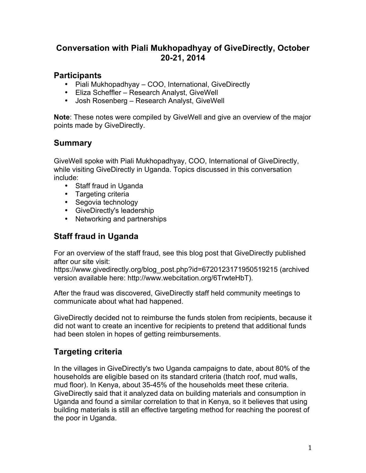#### **Conversation with Piali Mukhopadhyay of GiveDirectly, October 20-21, 2014**

#### **Participants**

- Piali Mukhopadhyay COO, International, GiveDirectly
- Eliza Scheffler Research Analyst, GiveWell
- Josh Rosenberg Research Analyst, GiveWell

**Note**: These notes were compiled by GiveWell and give an overview of the major points made by GiveDirectly.

## **Summary**

GiveWell spoke with Piali Mukhopadhyay, COO, International of GiveDirectly, while visiting GiveDirectly in Uganda. Topics discussed in this conversation include:

- Staff fraud in Uganda
- Targeting criteria
- Segovia technology
- GiveDirectly's leadership
- Networking and partnerships

# **Staff fraud in Uganda**

For an overview of the staff fraud, see this blog post that GiveDirectly published after our site visit:

https://www.givedirectly.org/blog\_post.php?id=6720123171950519215 (archived version available here: http://www.webcitation.org/6TrwteHbT).

After the fraud was discovered, GiveDirectly staff held community meetings to communicate about what had happened.

GiveDirectly decided not to reimburse the funds stolen from recipients, because it did not want to create an incentive for recipients to pretend that additional funds had been stolen in hopes of getting reimbursements.

## **Targeting criteria**

In the villages in GiveDirectly's two Uganda campaigns to date, about 80% of the households are eligible based on its standard criteria (thatch roof, mud walls, mud floor). In Kenya, about 35-45% of the households meet these criteria. GiveDirectly said that it analyzed data on building materials and consumption in Uganda and found a similar correlation to that in Kenya, so it believes that using building materials is still an effective targeting method for reaching the poorest of the poor in Uganda.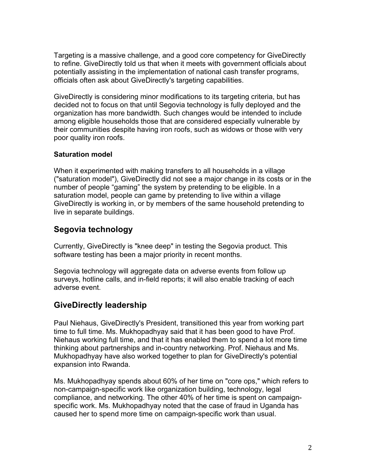Targeting is a massive challenge, and a good core competency for GiveDirectly to refine. GiveDirectly told us that when it meets with government officials about potentially assisting in the implementation of national cash transfer programs, officials often ask about GiveDirectly's targeting capabilities.

GiveDirectly is considering minor modifications to its targeting criteria, but has decided not to focus on that until Segovia technology is fully deployed and the organization has more bandwidth. Such changes would be intended to include among eligible households those that are considered especially vulnerable by their communities despite having iron roofs, such as widows or those with very poor quality iron roofs.

#### **Saturation model**

When it experimented with making transfers to all households in a village ("saturation model"), GiveDirectly did not see a major change in its costs or in the number of people "gaming" the system by pretending to be eligible. In a saturation model, people can game by pretending to live within a village GiveDirectly is working in, or by members of the same household pretending to live in separate buildings.

## **Segovia technology**

Currently, GiveDirectly is "knee deep" in testing the Segovia product. This software testing has been a major priority in recent months.

Segovia technology will aggregate data on adverse events from follow up surveys, hotline calls, and in-field reports; it will also enable tracking of each adverse event.

## **GiveDirectly leadership**

Paul Niehaus, GiveDirectly's President, transitioned this year from working part time to full time. Ms. Mukhopadhyay said that it has been good to have Prof. Niehaus working full time, and that it has enabled them to spend a lot more time thinking about partnerships and in-country networking. Prof. Niehaus and Ms. Mukhopadhyay have also worked together to plan for GiveDirectly's potential expansion into Rwanda.

Ms. Mukhopadhyay spends about 60% of her time on "core ops," which refers to non-campaign-specific work like organization building, technology, legal compliance, and networking. The other 40% of her time is spent on campaignspecific work. Ms. Mukhopadhyay noted that the case of fraud in Uganda has caused her to spend more time on campaign-specific work than usual.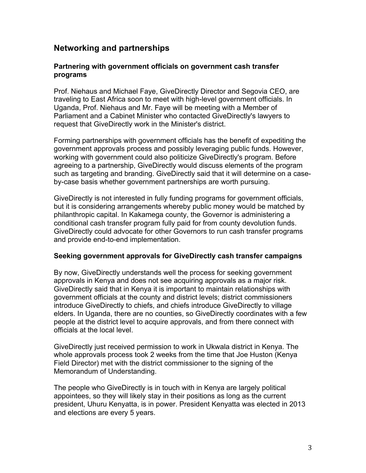#### **Networking and partnerships**

#### **Partnering with government officials on government cash transfer programs**

Prof. Niehaus and Michael Faye, GiveDirectly Director and Segovia CEO, are traveling to East Africa soon to meet with high-level government officials. In Uganda, Prof. Niehaus and Mr. Faye will be meeting with a Member of Parliament and a Cabinet Minister who contacted GiveDirectly's lawyers to request that GiveDirectly work in the Minister's district.

Forming partnerships with government officials has the benefit of expediting the government approvals process and possibly leveraging public funds. However, working with government could also politicize GiveDirectly's program. Before agreeing to a partnership, GiveDirectly would discuss elements of the program such as targeting and branding. GiveDirectly said that it will determine on a caseby-case basis whether government partnerships are worth pursuing.

GiveDirectly is not interested in fully funding programs for government officials, but it is considering arrangements whereby public money would be matched by philanthropic capital. In Kakamega county, the Governor is administering a conditional cash transfer program fully paid for from county devolution funds. GiveDirectly could advocate for other Governors to run cash transfer programs and provide end-to-end implementation.

#### **Seeking government approvals for GiveDirectly cash transfer campaigns**

By now, GiveDirectly understands well the process for seeking government approvals in Kenya and does not see acquiring approvals as a major risk. GiveDirectly said that in Kenya it is important to maintain relationships with government officials at the county and district levels; district commissioners introduce GiveDirectly to chiefs, and chiefs introduce GiveDirectly to village elders. In Uganda, there are no counties, so GiveDirectly coordinates with a few people at the district level to acquire approvals, and from there connect with officials at the local level.

GiveDirectly just received permission to work in Ukwala district in Kenya. The whole approvals process took 2 weeks from the time that Joe Huston (Kenya Field Director) met with the district commissioner to the signing of the Memorandum of Understanding.

The people who GiveDirectly is in touch with in Kenya are largely political appointees, so they will likely stay in their positions as long as the current president, Uhuru Kenyatta, is in power. President Kenyatta was elected in 2013 and elections are every 5 years.